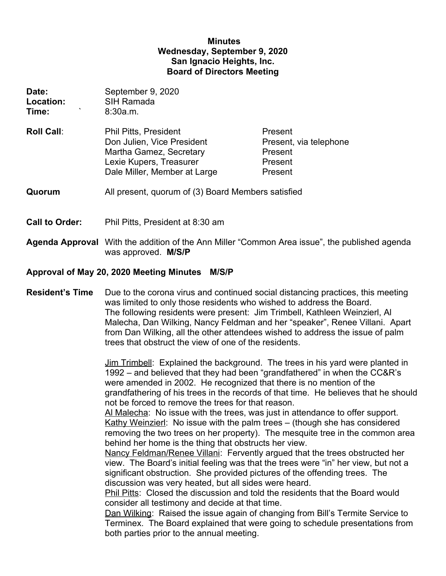## **Minutes Wednesday, September 9, 2020 San Ignacio Heights, Inc. Board of Directors Meeting**

| Date:<br>Location:<br>Time: | September 9, 2020<br><b>SIH Ramada</b><br>8:30a.m.                                                                                               |                                                                    |
|-----------------------------|--------------------------------------------------------------------------------------------------------------------------------------------------|--------------------------------------------------------------------|
| <b>Roll Call:</b>           | <b>Phil Pitts, President</b><br>Don Julien, Vice President<br>Martha Gamez, Secretary<br>Lexie Kupers, Treasurer<br>Dale Miller, Member at Large | Present<br>Present, via telephone<br>Present<br>Present<br>Present |
| Quorum                      | All present, quorum of (3) Board Members satisfied                                                                                               |                                                                    |
| <b>Call to Order:</b>       | Phil Pitts, President at 8:30 am                                                                                                                 |                                                                    |

**Agenda Approval** With the addition of the Ann Miller "Common Area issue", the published agenda was approved. **M/S/P**

#### **Approval of May 20, 2020 Meeting Minutes M/S/P**

**Resident's Time** Due to the corona virus and continued social distancing practices, this meeting was limited to only those residents who wished to address the Board. The following residents were present: Jim Trimbell, Kathleen Weinzierl, Al Malecha, Dan Wilking, Nancy Feldman and her "speaker", Renee Villani. Apart from Dan Wilking, all the other attendees wished to address the issue of palm trees that obstruct the view of one of the residents.

> Jim Trimbell: Explained the background. The trees in his yard were planted in 1992 – and believed that they had been "grandfathered" in when the CC&R's were amended in 2002. He recognized that there is no mention of the grandfathering of his trees in the records of that time. He believes that he should not be forced to remove the trees for that reason.

> Al Malecha: No issue with the trees, was just in attendance to offer support. Kathy Weinzierl: No issue with the palm trees – (though she has considered removing the two trees on her property). The mesquite tree in the common area behind her home is the thing that obstructs her view.

Nancy Feldman/Renee Villani: Fervently argued that the trees obstructed her view. The Board's initial feeling was that the trees were "in" her view, but not a significant obstruction. She provided pictures of the offending trees. The discussion was very heated, but all sides were heard.

Phil Pitts: Closed the discussion and told the residents that the Board would consider all testimony and decide at that time.

Dan Wilking: Raised the issue again of changing from Bill's Termite Service to Terminex. The Board explained that were going to schedule presentations from both parties prior to the annual meeting.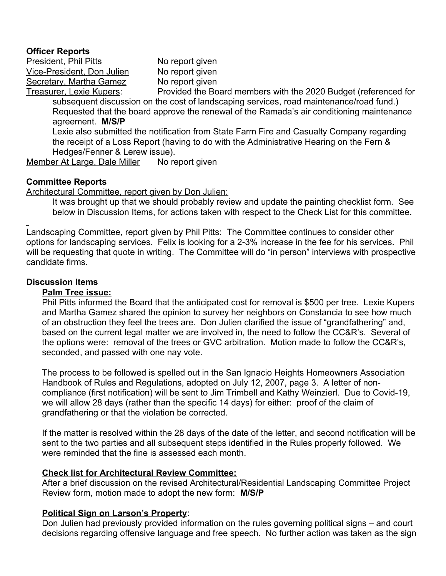#### **Officer Reports**

President, Phil Pitts No report given Vice-President, Don Julien No report given Secretary, Martha Gamez No report given

Treasurer, Lexie Kupers: Provided the Board members with the 2020 Budget (referenced for subsequent discussion on the cost of landscaping services, road maintenance/road fund.) Requested that the board approve the renewal of the Ramada's air conditioning maintenance agreement. **M/S/P** 

Lexie also submitted the notification from State Farm Fire and Casualty Company regarding the receipt of a Loss Report (having to do with the Administrative Hearing on the Fern & Hedges/Fenner & Lerew issue).

Member At Large, Dale Miller No report given

## **Committee Reports**

Architectural Committee, report given by Don Julien:

It was brought up that we should probably review and update the painting checklist form. See below in Discussion Items, for actions taken with respect to the Check List for this committee.

Landscaping Committee, report given by Phil Pitts: The Committee continues to consider other options for landscaping services. Felix is looking for a 2-3% increase in the fee for his services. Phil will be requesting that quote in writing. The Committee will do "in person" interviews with prospective candidate firms.

## **Discussion Items**

### **Palm Tree issue:**

Phil Pitts informed the Board that the anticipated cost for removal is \$500 per tree. Lexie Kupers and Martha Gamez shared the opinion to survey her neighbors on Constancia to see how much of an obstruction they feel the trees are. Don Julien clarified the issue of "grandfathering" and, based on the current legal matter we are involved in, the need to follow the CC&R's. Several of the options were: removal of the trees or GVC arbitration. Motion made to follow the CC&R's, seconded, and passed with one nay vote.

The process to be followed is spelled out in the San Ignacio Heights Homeowners Association Handbook of Rules and Regulations, adopted on July 12, 2007, page 3. A letter of noncompliance (first notification) will be sent to Jim Trimbell and Kathy Weinzierl. Due to Covid-19, we will allow 28 days (rather than the specific 14 days) for either: proof of the claim of grandfathering or that the violation be corrected.

If the matter is resolved within the 28 days of the date of the letter, and second notification will be sent to the two parties and all subsequent steps identified in the Rules properly followed. We were reminded that the fine is assessed each month.

# **Check list for Architectural Review Committee:**

After a brief discussion on the revised Architectural/Residential Landscaping Committee Project Review form, motion made to adopt the new form: **M/S/P**

# **Political Sign on Larson's Property**:

Don Julien had previously provided information on the rules governing political signs – and court decisions regarding offensive language and free speech. No further action was taken as the sign